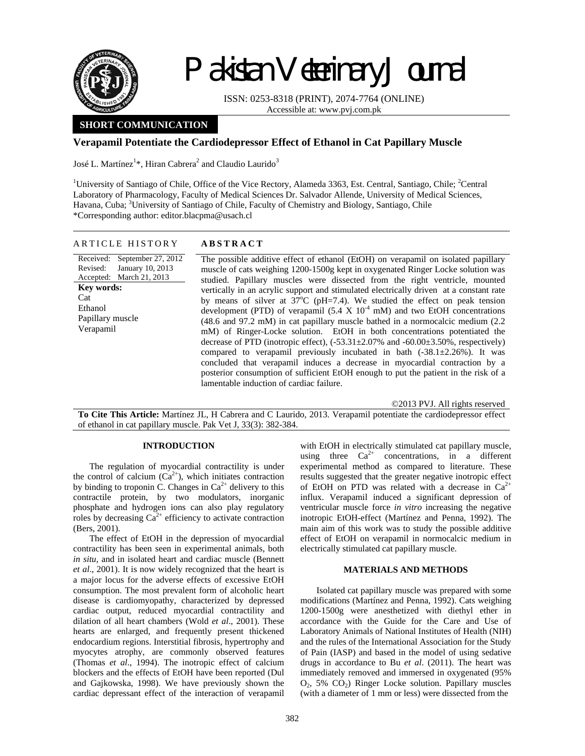

Received: Revised:

**Key words:**  Cat Ethanol

Verapamil

# Pakistan Veterinary Journal

ISSN: 0253-8318 (PRINT), 2074-7764 (ONLINE) Accessible at: www.pvj.com.pk

# **SHORT COMMUNICATION**

# **Verapamil Potentiate the Cardiodepressor Effect of Ethanol in Cat Papillary Muscle**

José L. Martínez $^{1*}$ , Hiran Cabrera $^{2}$  and Claudio Laurido $^{3}$ 

<sup>1</sup>University of Santiago of Chile, Office of the Vice Rectory, Alameda 3363, Est. Central, Santiago, Chile; <sup>2</sup>Central Laboratory of Pharmacology, Faculty of Medical Sciences Dr. Salvador Allende, University of Medical Sciences, Havana, Cuba; <sup>3</sup>University of Santiago of Chile, Faculty of Chemistry and Biology, Santiago, Chile \*Corresponding author: editor.blacpma@usach.cl

| ARTICLE HISTORY | <b>ABSTRACT</b> |
|-----------------|-----------------|
|                 |                 |

Accepted: March 21, 2013 September 27, 2012 January 10, 2013 Papillary muscle The possible additive effect of ethanol (EtOH) on verapamil on isolated papillary muscle of cats weighing 1200-1500g kept in oxygenated Ringer Locke solution was studied. Papillary muscles were dissected from the right ventricle, mounted vertically in an acrylic support and stimulated electrically driven at a constant rate by means of silver at  $37^{\circ}$ C (pH=7.4). We studied the effect on peak tension development (PTD) of verapamil  $(5.4 \times 10^{-4} \text{ mM})$  and two EtOH concentrations (48.6 and 97.2 mM) in cat papillary muscle bathed in a normocalcic medium (2.2 mM) of Ringer-Locke solution. EtOH in both concentrations potentiated the decrease of PTD (inotropic effect),  $(-53.31 \pm 2.07\%$  and  $-60.00 \pm 3.50\%$ , respectively) compared to verapamil previously incubated in bath  $(-38.1 \pm 2.26\%)$ . It was concluded that verapamil induces a decrease in myocardial contraction by a posterior consumption of sufficient EtOH enough to put the patient in the risk of a lamentable induction of cardiac failure.

©2013 PVJ. All rights reserved

**To Cite This Article:** Martínez JL, H Cabrera and C Laurido, 2013. Verapamil potentiate the cardiodepressor effect of ethanol in cat papillary muscle. Pak Vet J, 33(3): 382-384.

## **INTRODUCTION**

The regulation of myocardial contractility is under the control of calcium  $(Ca^{2+})$ , which initiates contraction by binding to troponin C. Changes in  $Ca<sup>2+</sup>$  delivery to this contractile protein, by two modulators, inorganic phosphate and hydrogen ions can also play regulatory roles by decreasing  $Ca^{2+}$  efficiency to activate contraction (Bers, 2001).

The effect of EtOH in the depression of myocardial contractility has been seen in experimental animals, both *in situ,* and in isolated heart and cardiac muscle (Bennett *et al*., 2001). It is now widely recognized that the heart is a major locus for the adverse effects of excessive EtOH consumption. The most prevalent form of alcoholic heart disease is cardiomyopathy, characterized by depressed cardiac output, reduced myocardial contractility and dilation of all heart chambers (Wold *et al*., 2001). These hearts are enlarged, and frequently present thickened endocardium regions. Interstitial fibrosis, hypertrophy and myocytes atrophy, are commonly observed features (Thomas *et al*., 1994). The inotropic effect of calcium blockers and the effects of EtOH have been reported (Dul and Gajkowska, 1998). We have previously shown the cardiac depressant effect of the interaction of verapamil

with EtOH in electrically stimulated cat papillary muscle, using three  $Ca^{2+}$  concentrations, in a different experimental method as compared to literature. These results suggested that the greater negative inotropic effect of EtOH on PTD was related with a decrease in  $Ca^{2+}$ influx. Verapamil induced a significant depression of ventricular muscle force *in vitro* increasing the negative inotropic EtOH-effect (Martínez and Penna, 1992). The main aim of this work was to study the possible additive effect of EtOH on verapamil in normocalcic medium in electrically stimulated cat papillary muscle.

## **MATERIALS AND METHODS**

Isolated cat papillary muscle was prepared with some modifications (Martínez and Penna, 1992). Cats weighing 1200-1500g were anesthetized with diethyl ether in accordance with the Guide for the Care and Use of Laboratory Animals of National Institutes of Health (NIH) and the rules of the International Association for the Study of Pain (IASP) and based in the model of using sedative drugs in accordance to Bu *et al*. (2011). The heart was immediately removed and immersed in oxygenated (95%  $O_2$ , 5%  $CO_2$ ) Ringer Locke solution. Papillary muscles (with a diameter of 1 mm or less) were dissected from the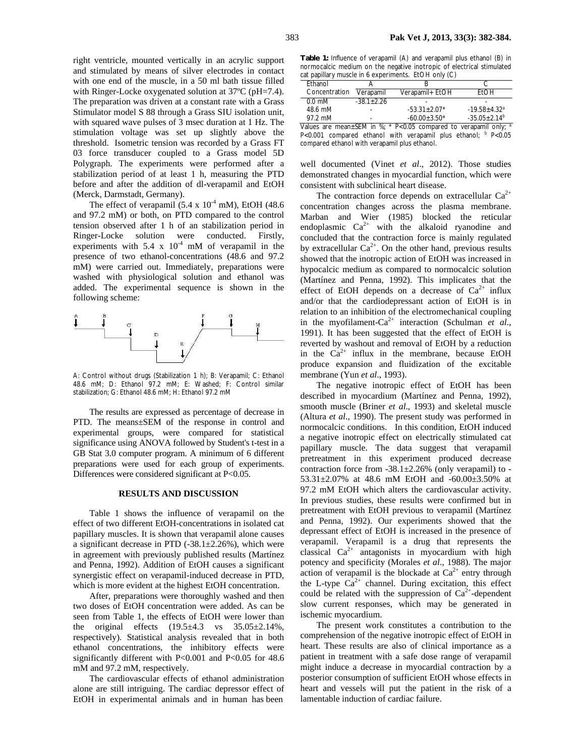right ventricle, mounted vertically in an acrylic support and stimulated by means of silver electrodes in contact with one end of the muscle, in a 50 ml bath tissue filled with Ringer-Locke oxygenated solution at 37ºC (pH=7.4). The preparation was driven at a constant rate with a Grass Stimulator model S 88 through a Grass SIU isolation unit, with squared wave pulses of 3 msec duration at 1 Hz. The stimulation voltage was set up slightly above the threshold. Isometric tension was recorded by a Grass FT 03 force transducer coupled to a Grass model 5D Polygraph. The experiments were performed after a stabilization period of at least 1 h, measuring the PTD before and after the addition of dl-verapamil and EtOH (Merck, Darmstadt, Germany).

The effect of verapamil  $(5.4 \times 10^{-4} \text{ mM})$ , EtOH (48.6) and 97.2 mM) or both, on PTD compared to the control tension observed after 1 h of an stabilization period in Ringer-Locke solution were conducted. Firstly, experiments with  $5.4 \times 10^{-4}$  mM of verapamil in the presence of two ethanol-concentrations (48.6 and 97.2 mM) were carried out. Immediately, preparations were washed with physiological solution and ethanol was added. The experimental sequence is shown in the following scheme:



A: Control without drugs (Stabilization 1 h); B: Verapamil; C: Ethanol 48.6 mM; D: Ethanol 97.2 mM; E: Washed; F: Control similar stabilization; G: Ethanol 48.6 mM; H: Ethanol 97.2 mM

The results are expressed as percentage of decrease in PTD. The means±SEM of the response in control and experimental groups, were compared for statistical significance using ANOVA followed by Student's t-test in a GB Stat 3.0 computer program. A minimum of 6 different preparations were used for each group of experiments. Differences were considered significant at P<0.05.

#### **RESULTS AND DISCUSSION**

Table 1 shows the influence of verapamil on the effect of two different EtOH-concentrations in isolated cat papillary muscles. It is shown that verapamil alone causes a significant decrease in PTD  $(-38.1 \pm 2.26\%)$ , which were in agreement with previously published results (Martínez and Penna, 1992). Addition of EtOH causes a significant synergistic effect on verapamil-induced decrease in PTD, which is more evident at the highest EtOH concentration.

After, preparations were thoroughly washed and then two doses of EtOH concentration were added. As can be seen from Table 1, the effects of EtOH were lower than the original effects  $(19.5 \pm 4.3 \text{ vs } 35.05 \pm 2.14\%$ , respectively). Statistical analysis revealed that in both ethanol concentrations, the inhibitory effects were significantly different with P<0.001 and P<0.05 for 48.6 mM and 97.2 mM, respectively.

The cardiovascular effects of ethanol administration alone are still intriguing. The cardiac depressor effect of EtOH in experimental animals and in human has been

**Table 1:** Influence of verapamil (A) and verapamil plus ethanol (B) in normocalcic medium on the negative inotropic of electrical stimulated cat papillary muscle in 6 experiments. EtOH only (C)

| 97.2 mM          | ۰          | $-60.00 + 3.50*$ | $-35.05 + 2.14^b$            |
|------------------|------------|------------------|------------------------------|
| 48.6 mM          | ٠          | $-53.31 + 2.07*$ | $-19.58 + 4.32$ <sup>a</sup> |
| $0.0 \text{ mM}$ | $-381+226$ | ۰                |                              |
| Concentration    | Verapamil  | Verapamil+ EtOH  | FtOH                         |
| Ethanol          |            |                  |                              |

Values are mean±SEM in %;  $*$  P<0.05 compared to verapamil only;  $a$ P<0.001 compared ethanol with verapamil plus ethanol; b P<0.05 compared ethanol with verapamil plus ethanol.

well documented (Vinet *et al*., 2012). Those studies demonstrated changes in myocardial function, which were consistent with subclinical heart disease.

The contraction force depends on extracellular  $Ca^{2+}$ concentration changes across the plasma membrane. Marban and Wier (1985) blocked the reticular endoplasmic  $Ca^{2+}$  with the alkaloid ryanodine and concluded that the contraction force is mainly regulated by extracellular  $Ca^{2+}$ . On the other hand, previous results showed that the inotropic action of EtOH was increased in hypocalcic medium as compared to normocalcic solution (Martínez and Penna, 1992). This implicates that the effect of EtOH depends on a decrease of  $Ca^{2+}$  influx and/or that the cardiodepressant action of EtOH is in relation to an inhibition of the electromechanical coupling in the myofilament- $Ca^{2+}$  interaction (Schulman *et al.*, 1991). It has been suggested that the effect of EtOH is reverted by washout and removal of EtOH by a reduction in the  $Ca^{2+}$  influx in the membrane, because EtOH produce expansion and fluidization of the excitable membrane (Yun *et al*., 1993).

The negative inotropic effect of EtOH has been described in myocardium (Martínez and Penna, 1992), smooth muscle (Briner *et al*., 1993) and skeletal muscle (Altura *et al*., 1990). The present study was performed in normocalcic conditions. In this condition, EtOH induced a negative inotropic effect on electrically stimulated cat papillary muscle. The data suggest that verapamil pretreatment in this experiment produced decrease contraction force from  $-38.1 \pm 2.26\%$  (only verapamil) to -53.31±2.07% at 48.6 mM EtOH and -60.00±3.50% at 97.2 mM EtOH which alters the cardiovascular activity. In previous studies, these results were confirmed but in pretreatment with EtOH previous to verapamil (Martínez and Penna, 1992). Our experiments showed that the depressant effect of EtOH is increased in the presence of verapamil. Verapamil is a drug that represents the classical  $Ca^{2+}$  antagonists in myocardium with high potency and specificity (Morales *et al*., 1988). The major action of verapamil is the blockade at  $Ca^{2+}$  entry through the L-type  $\hat{Ca}^{2+}$  channel. During excitation, this effect could be related with the suppression of  $Ca<sup>2+</sup>$ -dependent slow current responses, which may be generated in ischemic myocardium.

The present work constitutes a contribution to the comprehension of the negative inotropic effect of EtOH in heart. These results are also of clinical importance as a patient in treatment with a safe dose range of verapamil might induce a decrease in myocardial contraction by a posterior consumption of sufficient EtOH whose effects in heart and vessels will put the patient in the risk of a lamentable induction of cardiac failure.